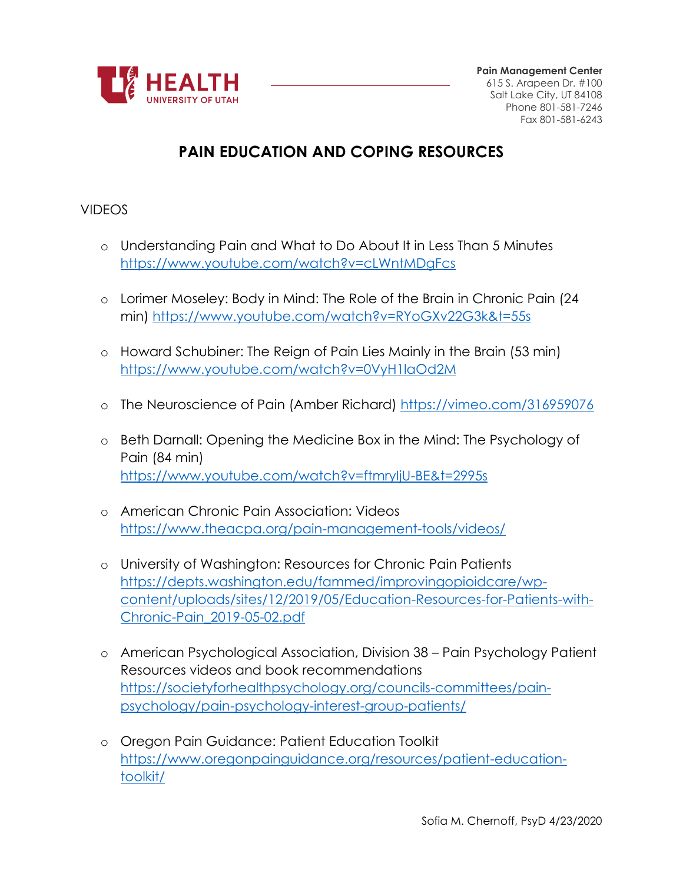

# **PAIN EDUCATION AND COPING RESOURCES**

#### VIDEOS

- o Understanding Pain and What to Do About It in Less Than 5 Minutes <https://www.youtube.com/watch?v=cLWntMDgFcs>
- o Lorimer Moseley: Body in Mind: The Role of the Brain in Chronic Pain (24 min)<https://www.youtube.com/watch?v=RYoGXv22G3k&t=55s>
- o Howard Schubiner: The Reign of Pain Lies Mainly in the Brain (53 min) <https://www.youtube.com/watch?v=0VyH1laOd2M>
- o The Neuroscience of Pain (Amber Richard)<https://vimeo.com/316959076>
- o Beth Darnall: Opening the Medicine Box in the Mind: The Psychology of Pain (84 min) <https://www.youtube.com/watch?v=ftmryIjU-BE&t=2995s>
- o American Chronic Pain Association: Videos <https://www.theacpa.org/pain-management-tools/videos/>
- o University of Washington: Resources for Chronic Pain Patients [https://depts.washington.edu/fammed/improvingopioidcare/wp](https://depts.washington.edu/fammed/improvingopioidcare/wp-content/uploads/sites/12/2019/05/Education-Resources-for-Patients-with-Chronic-Pain_2019-05-02.pdf)[content/uploads/sites/12/2019/05/Education-Resources-for-Patients-with-](https://depts.washington.edu/fammed/improvingopioidcare/wp-content/uploads/sites/12/2019/05/Education-Resources-for-Patients-with-Chronic-Pain_2019-05-02.pdf)[Chronic-Pain\\_2019-05-02.pdf](https://depts.washington.edu/fammed/improvingopioidcare/wp-content/uploads/sites/12/2019/05/Education-Resources-for-Patients-with-Chronic-Pain_2019-05-02.pdf)
- o American Psychological Association, Division 38 Pain Psychology Patient Resources videos and book recommendations [https://societyforhealthpsychology.org/councils-committees/pain](https://societyforhealthpsychology.org/councils-committees/pain-psychology/pain-psychology-interest-group-patients/)[psychology/pain-psychology-interest-group-patients/](https://societyforhealthpsychology.org/councils-committees/pain-psychology/pain-psychology-interest-group-patients/)
- o Oregon Pain Guidance: Patient Education Toolkit [https://www.oregonpainguidance.org/resources/patient-education](https://www.oregonpainguidance.org/resources/patient-education-toolkit/)[toolkit/](https://www.oregonpainguidance.org/resources/patient-education-toolkit/)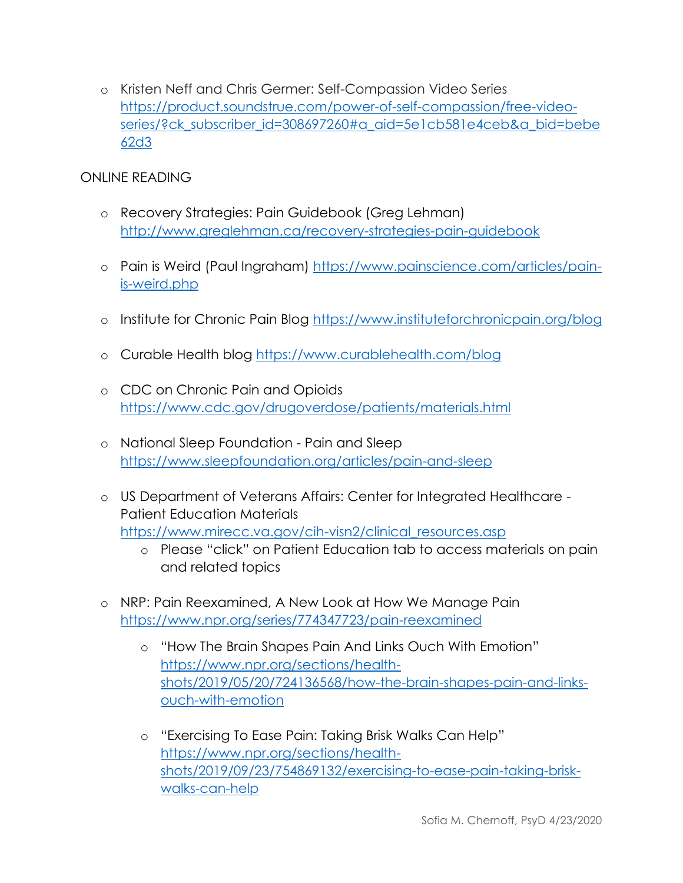o Kristen Neff and Chris Germer: Self-Compassion Video Series [https://product.soundstrue.com/power-of-self-compassion/free-video](https://product.soundstrue.com/power-of-self-compassion/free-video-series/?ck_subscriber_id=308697260#a_aid=5e1cb581e4ceb&a_bid=bebe62d3)[series/?ck\\_subscriber\\_id=308697260#a\\_aid=5e1cb581e4ceb&a\\_bid=bebe](https://product.soundstrue.com/power-of-self-compassion/free-video-series/?ck_subscriber_id=308697260#a_aid=5e1cb581e4ceb&a_bid=bebe62d3) [62d3](https://product.soundstrue.com/power-of-self-compassion/free-video-series/?ck_subscriber_id=308697260#a_aid=5e1cb581e4ceb&a_bid=bebe62d3)

# ONLINE READING

- o Recovery Strategies: Pain Guidebook (Greg Lehman) <http://www.greglehman.ca/recovery-strategies-pain-guidebook>
- o Pain is Weird (Paul Ingraham) [https://www.painscience.com/articles/pain](https://www.painscience.com/articles/pain-is-weird.php)[is-weird.php](https://www.painscience.com/articles/pain-is-weird.php)
- o Institute for Chronic Pain Blog<https://www.instituteforchronicpain.org/blog>
- o Curable Health blog<https://www.curablehealth.com/blog>
- o CDC on Chronic Pain and Opioids <https://www.cdc.gov/drugoverdose/patients/materials.html>
- o National Sleep Foundation Pain and Sleep <https://www.sleepfoundation.org/articles/pain-and-sleep>
- o US Department of Veterans Affairs: Center for Integrated Healthcare Patient Education Materials [https://www.mirecc.va.gov/cih-visn2/clinical\\_resources.asp](https://www.mirecc.va.gov/cih-visn2/clinical_resources.asp)
	- o Please "click" on Patient Education tab to access materials on pain and related topics
- o NRP: Pain Reexamined, A New Look at How We Manage Pain <https://www.npr.org/series/774347723/pain-reexamined>
	- o "How The Brain Shapes Pain And Links Ouch With Emotion" [https://www.npr.org/sections/health](https://www.npr.org/sections/health-shots/2019/05/20/724136568/how-the-brain-shapes-pain-and-links-ouch-with-emotion)[shots/2019/05/20/724136568/how-the-brain-shapes-pain-and-links](https://www.npr.org/sections/health-shots/2019/05/20/724136568/how-the-brain-shapes-pain-and-links-ouch-with-emotion)[ouch-with-emotion](https://www.npr.org/sections/health-shots/2019/05/20/724136568/how-the-brain-shapes-pain-and-links-ouch-with-emotion)
	- o "Exercising To Ease Pain: Taking Brisk Walks Can Help" [https://www.npr.org/sections/health](https://www.npr.org/sections/health-shots/2019/09/23/754869132/exercising-to-ease-pain-taking-brisk-walks-can-help)[shots/2019/09/23/754869132/exercising-to-ease-pain-taking-brisk](https://www.npr.org/sections/health-shots/2019/09/23/754869132/exercising-to-ease-pain-taking-brisk-walks-can-help)[walks-can-help](https://www.npr.org/sections/health-shots/2019/09/23/754869132/exercising-to-ease-pain-taking-brisk-walks-can-help)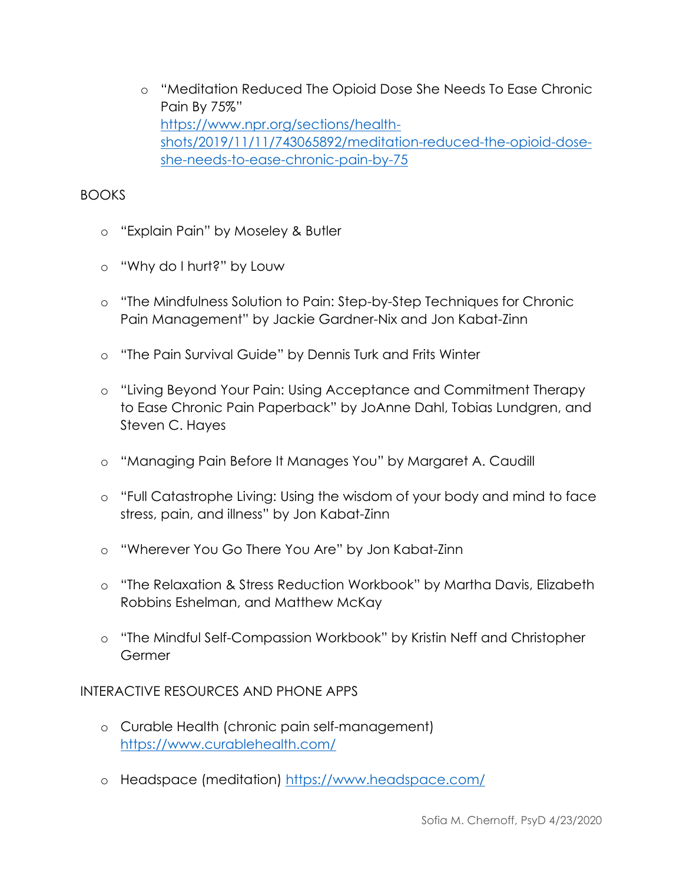o "Meditation Reduced The Opioid Dose She Needs To Ease Chronic Pain By 75%" [https://www.npr.org/sections/health](https://www.npr.org/sections/health-shots/2019/11/11/743065892/meditation-reduced-the-opioid-dose-she-needs-to-ease-chronic-pain-by-75)[shots/2019/11/11/743065892/meditation-reduced-the-opioid-dose](https://www.npr.org/sections/health-shots/2019/11/11/743065892/meditation-reduced-the-opioid-dose-she-needs-to-ease-chronic-pain-by-75)[she-needs-to-ease-chronic-pain-by-75](https://www.npr.org/sections/health-shots/2019/11/11/743065892/meditation-reduced-the-opioid-dose-she-needs-to-ease-chronic-pain-by-75)

# BOOKS

- o "Explain Pain" by Moseley & Butler
- o "Why do I hurt?" by Louw
- o "The Mindfulness Solution to Pain: Step-by-Step Techniques for Chronic Pain Management" by Jackie Gardner-Nix and Jon Kabat-Zinn
- o "The Pain Survival Guide" by Dennis Turk and Frits Winter
- o "Living Beyond Your Pain: Using Acceptance and Commitment Therapy to Ease Chronic Pain Paperback" by JoAnne Dahl, Tobias Lundgren, and Steven C. Hayes
- o "Managing Pain Before It Manages You" by Margaret A. Caudill
- o "Full Catastrophe Living: Using the wisdom of your body and mind to face stress, pain, and illness" by Jon Kabat-Zinn
- o "Wherever You Go There You Are" by Jon Kabat-Zinn
- o "The Relaxation & Stress Reduction Workbook" by Martha Davis, Elizabeth Robbins Eshelman, and Matthew McKay
- o "The Mindful Self-Compassion Workbook" by Kristin Neff and Christopher Germer

## INTERACTIVE RESOURCES AND PHONE APPS

- o Curable Health (chronic pain self-management) <https://www.curablehealth.com/>
- o Headspace (meditation)<https://www.headspace.com/>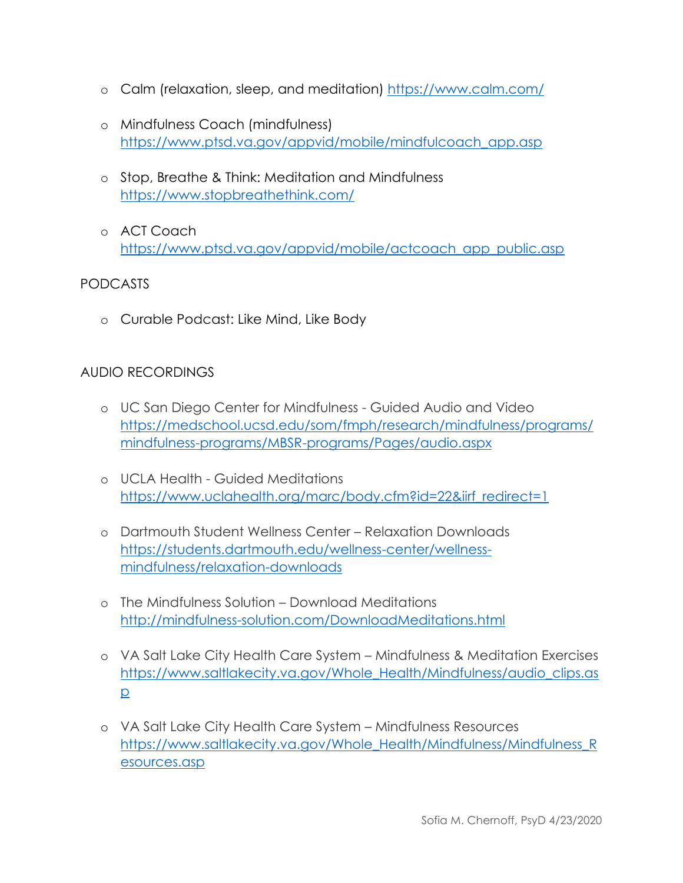- o Calm (relaxation, sleep, and meditation)<https://www.calm.com/>
- o Mindfulness Coach (mindfulness) [https://www.ptsd.va.gov/appvid/mobile/mindfulcoach\\_app.asp](https://www.ptsd.va.gov/appvid/mobile/mindfulcoach_app.asp)
- o Stop, Breathe & Think: Meditation and Mindfulness <https://www.stopbreathethink.com/>
- o ACT Coach [https://www.ptsd.va.gov/appvid/mobile/actcoach\\_app\\_public.asp](https://www.ptsd.va.gov/appvid/mobile/actcoach_app_public.asp)

## PODCASTS

o Curable Podcast: Like Mind, Like Body

#### AUDIO RECORDINGS

- o UC San Diego Center for Mindfulness Guided Audio and Video [https://medschool.ucsd.edu/som/fmph/research/mindfulness/programs/](https://medschool.ucsd.edu/som/fmph/research/mindfulness/programs/mindfulness-programs/MBSR-programs/Pages/audio.aspx) [mindfulness-programs/MBSR-programs/Pages/audio.aspx](https://medschool.ucsd.edu/som/fmph/research/mindfulness/programs/mindfulness-programs/MBSR-programs/Pages/audio.aspx)
- o UCLA Health Guided Meditations [https://www.uclahealth.org/marc/body.cfm?id=22&iirf\\_redirect=1](https://www.uclahealth.org/marc/body.cfm?id=22&iirf_redirect=1)
- o Dartmouth Student Wellness Center Relaxation Downloads [https://students.dartmouth.edu/wellness-center/wellness](https://students.dartmouth.edu/wellness-center/wellness-mindfulness/relaxation-downloads)[mindfulness/relaxation-downloads](https://students.dartmouth.edu/wellness-center/wellness-mindfulness/relaxation-downloads)
- o The Mindfulness Solution Download Meditations <http://mindfulness-solution.com/DownloadMeditations.html>
- o VA Salt Lake City Health Care System Mindfulness & Meditation Exercises [https://www.saltlakecity.va.gov/Whole\\_Health/Mindfulness/audio\\_clips.as](https://www.saltlakecity.va.gov/Whole_Health/Mindfulness/audio_clips.asp) [p](https://www.saltlakecity.va.gov/Whole_Health/Mindfulness/audio_clips.asp)
- o VA Salt Lake City Health Care System Mindfulness Resources [https://www.saltlakecity.va.gov/Whole\\_Health/Mindfulness/Mindfulness\\_R](https://www.saltlakecity.va.gov/Whole_Health/Mindfulness/Mindfulness_Resources.asp) [esources.asp](https://www.saltlakecity.va.gov/Whole_Health/Mindfulness/Mindfulness_Resources.asp)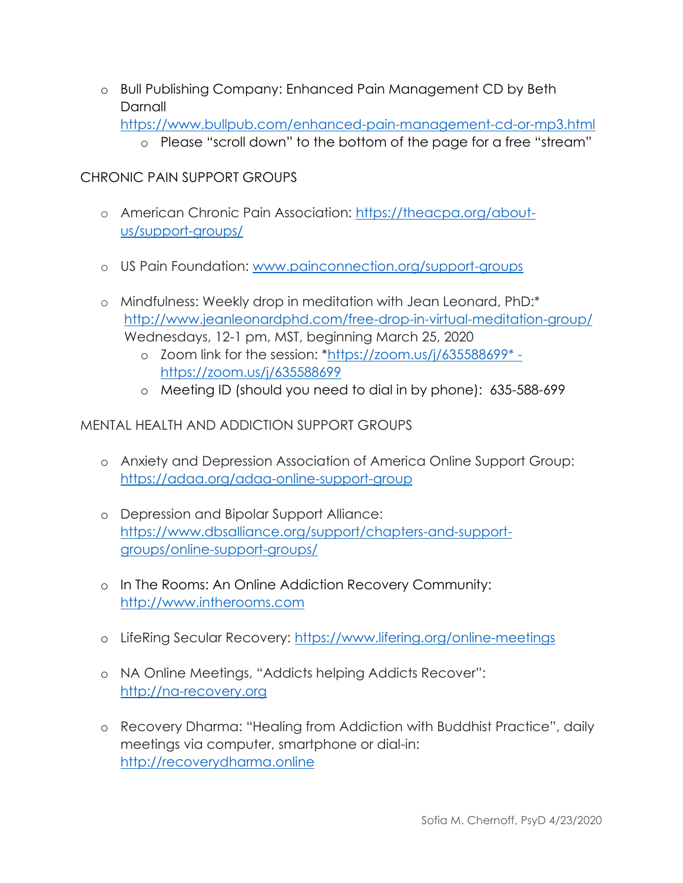o Bull Publishing Company: Enhanced Pain Management CD by Beth Darnall

```
https://www.bullpub.com/enhanced-pain-management-cd-or-mp3.html
```
o Please "scroll down" to the bottom of the page for a free "stream"

# CHRONIC PAIN SUPPORT GROUPS

- o American Chronic Pain Association: [https://theacpa.org/about](https://theacpa.org/about-us/support-groups/)[us/support-groups/](https://theacpa.org/about-us/support-groups/)
- o US Pain Foundation: [www.painconnection.org/support-groups](http://www.painconnection.org/support-groups)
- o Mindfulness: Weekly drop in meditation with Jean Leonard, PhD:\* <http://www.jeanleonardphd.com/free-drop-in-virtual-meditation-group/> Wednesdays, 12-1 pm, MST, beginning March 25, 2020
	- o Zoom link for the session: [\\*https://zoom.us/j/635588699\\*](https://zoom.us/j/635588699*%20-%20https:/zoom.us/j/635588699)  [https://zoom.us/j/635588699](https://zoom.us/j/635588699*%20-%20https:/zoom.us/j/635588699)
	- o Meeting ID (should you need to dial in by phone): 635-588-699

# MENTAL HEALTH AND ADDICTION SUPPORT GROUPS

- o Anxiety and Depression Association of America Online Support Group: <https://adaa.org/adaa-online-support-group>
- o Depression and Bipolar Support Alliance: [https://www.dbsalliance.org/support/chapters-and-support](https://www.dbsalliance.org/support/chapters-and-support-groups/online-support-groups/)[groups/online-support-groups/](https://www.dbsalliance.org/support/chapters-and-support-groups/online-support-groups/)
- o In The Rooms: An Online Addiction Recovery Community: [http://www.intherooms.com](http://www.intherooms.com/)
- o LifeRing Secular Recovery:<https://www.lifering.org/online-meetings>
- o NA Online Meetings, "Addicts helping Addicts Recover": [http://na-recovery.org](http://na-recovery.org/)
- o Recovery Dharma: "Healing from Addiction with Buddhist Practice", daily meetings via computer, smartphone or dial-in: [http://recoverydharma.online](http://recoverydharma.online/)